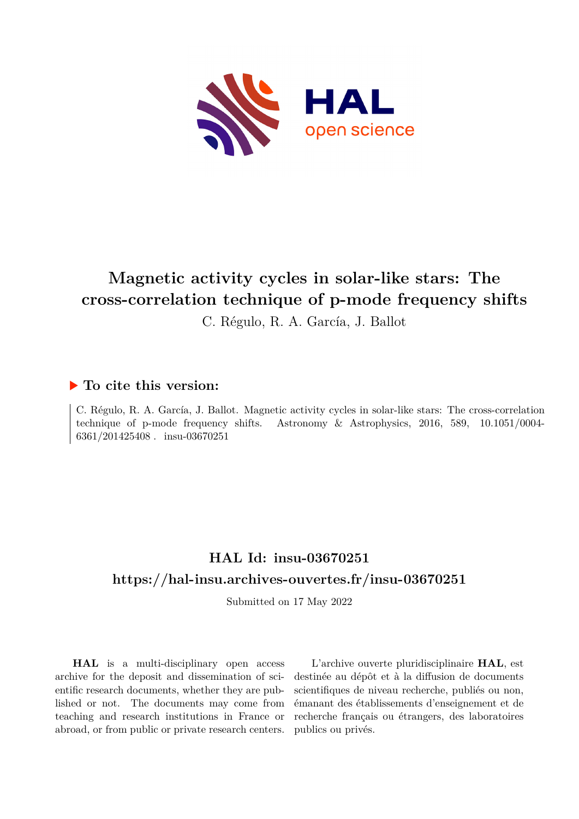

# **Magnetic activity cycles in solar-like stars: The cross-correlation technique of p-mode frequency shifts**

C. Régulo, R. A. García, J. Ballot

## **To cite this version:**

C. Régulo, R. A. García, J. Ballot. Magnetic activity cycles in solar-like stars: The cross-correlation technique of p-mode frequency shifts. Astronomy  $\&$  Astrophysics, 2016, 589, 10.1051/0004-6361/201425408. insu-03670251

## **HAL Id: insu-03670251 <https://hal-insu.archives-ouvertes.fr/insu-03670251>**

Submitted on 17 May 2022

**HAL** is a multi-disciplinary open access archive for the deposit and dissemination of scientific research documents, whether they are published or not. The documents may come from teaching and research institutions in France or abroad, or from public or private research centers.

L'archive ouverte pluridisciplinaire **HAL**, est destinée au dépôt et à la diffusion de documents scientifiques de niveau recherche, publiés ou non, émanant des établissements d'enseignement et de recherche français ou étrangers, des laboratoires publics ou privés.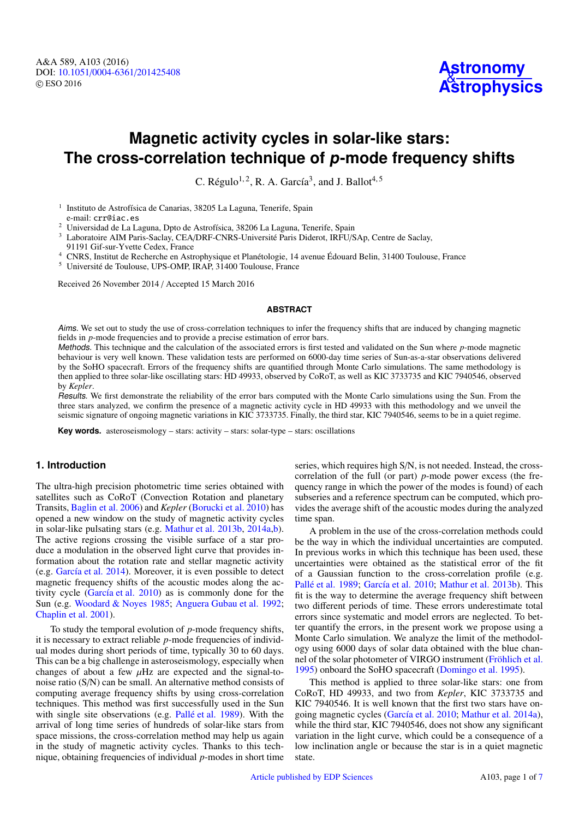## **Magnetic activity cycles in solar-like stars: The cross-correlation technique of p-mode frequency shifts**

C. Régulo<sup>1, 2</sup>, R. A. García<sup>3</sup>, and J. Ballot<sup>4, 5</sup>

1 Instituto de Astrofísica de Canarias, 38205 La Laguna, Tenerife, Spain e-mail: crr@iac.es

<sup>2</sup> Universidad de La Laguna, Dpto de Astrofísica, 38206 La Laguna, Tenerife, Spain

<sup>3</sup> Laboratoire AIM Paris-Saclay, CEA/DRF-CNRS-Université Paris Diderot, IRFU/SAp, Centre de Saclay, 91191 Gif-sur-Yvette Cedex, France

<sup>4</sup> CNRS, Institut de Recherche en Astrophysique et Planétologie, 14 avenue Édouard Belin, 31400 Toulouse, France

<sup>5</sup> Université de Toulouse, UPS-OMP, IRAP, 31400 Toulouse, France

Received 26 November 2014 / Accepted 15 March 2016

#### **ABSTRACT**

Aims. We set out to study the use of cross-correlation techniques to infer the frequency shifts that are induced by changing magnetic fields in *p*-mode frequencies and to provide a precise estimation of error bars.

Methods. This technique and the calculation of the associated errors is first tested and validated on the Sun where *p*-mode magnetic behaviour is very well known. These validation tests are performed on 6000-day time series of Sun-as-a-star observations delivered by the SoHO spacecraft. Errors of the frequency shifts are quantified through Monte Carlo simulations. The same methodology is then applied to three solar-like oscillating stars: HD 49933, observed by CoRoT, as well as KIC 3733735 and KIC 7940546, observed by *Kepler*.

Results. We first demonstrate the reliability of the error bars computed with the Monte Carlo simulations using the Sun. From the three stars analyzed, we confirm the presence of a magnetic activity cycle in HD 49933 with this methodology and we unveil the seismic signature of ongoing magnetic variations in KIC 3733735. Finally, the third star, KIC 7940546, seems to be in a quiet regime.

**Key words.** asteroseismology – stars: activity – stars: solar-type – stars: oscillations

## **1. Introduction**

The ultra-high precision photometric time series obtained with satellites such as CoRoT (Convection Rotation and planetary Transits, Baglin et al. 2006) and *Kepler* (Borucki et al. 2010) has opened a new window on the study of magnetic activity cycles in solar-like pulsating stars (e.g. Mathur et al. 2013b, 2014a,b). The active regions crossing the visible surface of a star produce a modulation in the observed light curve that provides information about the rotation rate and stellar magnetic activity (e.g. García et al. 2014). Moreover, it is even possible to detect magnetic frequency shifts of the acoustic modes along the activity cycle (García et al. 2010) as is commonly done for the Sun (e.g. Woodard & Noyes 1985; Anguera Gubau et al. 1992; Chaplin et al. 2001).

To study the temporal evolution of *p*-mode frequency shifts, it is necessary to extract reliable *p*-mode frequencies of individual modes during short periods of time, typically 30 to 60 days. This can be a big challenge in asteroseismology, especially when changes of about a few  $\mu$ Hz are expected and the signal-tonoise ratio (S/N) can be small. An alternative method consists of computing average frequency shifts by using cross-correlation techniques. This method was first successfully used in the Sun with single site observations (e.g. Pallé et al. 1989). With the arrival of long time series of hundreds of solar-like stars from space missions, the cross-correlation method may help us again in the study of magnetic activity cycles. Thanks to this technique, obtaining frequencies of individual *p*-modes in short time series, which requires high S/N, is not needed. Instead, the crosscorrelation of the full (or part) *p*-mode power excess (the frequency range in which the power of the modes is found) of each subseries and a reference spectrum can be computed, which provides the average shift of the acoustic modes during the analyzed time span.

A problem in the use of the cross-correlation methods could be the way in which the individual uncertainties are computed. In previous works in which this technique has been used, these uncertainties were obtained as the statistical error of the fit of a Gaussian function to the cross-correlation profile (e.g. Pallé et al. 1989; García et al. 2010; Mathur et al. 2013b). This fit is the way to determine the average frequency shift between two different periods of time. These errors underestimate total errors since systematic and model errors are neglected. To better quantify the errors, in the present work we propose using a Monte Carlo simulation. We analyze the limit of the methodology using 6000 days of solar data obtained with the blue channel of the solar photometer of VIRGO instrument (Fröhlich et al. 1995) onboard the SoHO spacecraft (Domingo et al. 1995).

This method is applied to three solar-like stars: one from CoRoT, HD 49933, and two from *Kepler*, KIC 3733735 and KIC 7940546. It is well known that the first two stars have ongoing magnetic cycles (García et al. 2010; Mathur et al. 2014a), while the third star, KIC 7940546, does not show any significant variation in the light curve, which could be a consequence of a low inclination angle or because the star is in a quiet magnetic state.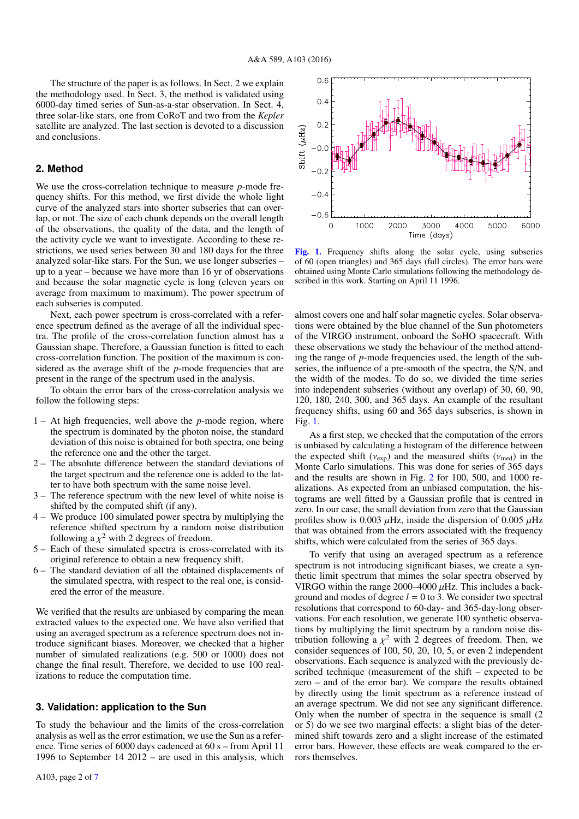The structure of the paper is as follows. In Sect. 2 we explain the methodology used. In Sect. 3, the method is validated using 6000-day timed series of Sun-as-a-star observation. In Sect. 4, three solar-like stars, one from CoRoT and two from the *Kepler* satellite are analyzed. The last section is devoted to a discussion and conclusions.

## **2. Method**

We use the cross-correlation technique to measure *p*-mode frequency shifts. For this method, we first divide the whole light curve of the analyzed stars into shorter subseries that can overlap, or not. The size of each chunk depends on the overall length of the observations, the quality of the data, and the length of the activity cycle we want to investigate. According to these restrictions, we used series between 30 and 180 days for the three analyzed solar-like stars. For the Sun, we use longer subseries – up to a year – because we have more than 16 yr of observations and because the solar magnetic cycle is long (eleven years on average from maximum to maximum). The power spectrum of each subseries is computed.

Next, each power spectrum is cross-correlated with a reference spectrum defined as the average of all the individual spectra. The profile of the cross-correlation function almost has a Gaussian shape. Therefore, a Gaussian function is fitted to each cross-correlation function. The position of the maximum is considered as the average shift of the *p*-mode frequencies that are present in the range of the spectrum used in the analysis.

To obtain the error bars of the cross-correlation analysis we follow the following steps:

- 1 At high frequencies, well above the *p*-mode region, where the spectrum is dominated by the photon noise, the standard deviation of this noise is obtained for both spectra, one being the reference one and the other the target.
- 2 The absolute difference between the standard deviations of the target spectrum and the reference one is added to the latter to have both spectrum with the same noise level.
- 3 The reference spectrum with the new level of white noise is shifted by the computed shift (if any).
- 4 We produce 100 simulated power spectra by multiplying the reference shifted spectrum by a random noise distribution following a  $\chi^2$  with 2 degrees of freedom.<br>Each of these simulated spectra is cross-
- 5 Each of these simulated spectra is cross-correlated with its original reference to obtain a new frequency shift.
- 6 The standard deviation of all the obtained displacements of the simulated spectra, with respect to the real one, is considered the error of the measure.

We verified that the results are unbiased by comparing the mean extracted values to the expected one. We have also verified that using an averaged spectrum as a reference spectrum does not introduce significant biases. Moreover, we checked that a higher number of simulated realizations (e.g. 500 or 1000) does not change the final result. Therefore, we decided to use 100 realizations to reduce the computation time.

## **3. Validation: application to the Sun**

To study the behaviour and the limits of the cross-correlation analysis as well as the error estimation, we use the Sun as a reference. Time series of 6000 days cadenced at 60 s – from April 11 1996 to September 14 2012 – are used in this analysis, which



[Fig. 1.](http://dexter.edpsciences.org/applet.php?DOI=10.1051/0004-6361/201425408&pdf_id=1) Frequency shifts along the solar cycle, using subseries of 60 (open triangles) and 365 days (full circles). The error bars were obtained using Monte Carlo simulations following the methodology described in this work. Starting on April 11 1996.

almost covers one and half solar magnetic cycles. Solar observations were obtained by the blue channel of the Sun photometers of the VIRGO instrument, onboard the SoHO spacecraft. With these observations we study the behaviour of the method attending the range of *p*-mode frequencies used, the length of the subseries, the influence of a pre-smooth of the spectra, the S/N, and the width of the modes. To do so, we divided the time series into independent subseries (without any overlap) of 30, 60, 90, 120, 180, 240, 300, and 365 days. An example of the resultant frequency shifts, using 60 and 365 days subseries, is shown in Fig. 1.

As a first step, we checked that the computation of the errors is unbiased by calculating a histogram of the difference between the expected shift ( $v_{exp}$ ) and the measured shifts ( $v_{med}$ ) in the Monte Carlo simulations. This was done for series of 365 days and the results are shown in Fig. 2 for 100, 500, and 1000 realizations. As expected from an unbiased computation, the histograms are well fitted by a Gaussian profile that is centred in zero. In our case, the small deviation from zero that the Gaussian profiles show is 0.003  $\mu$ Hz, inside the dispersion of 0.005  $\mu$ Hz that was obtained from the errors associated with the frequency shifts, which were calculated from the series of 365 days.

To verify that using an averaged spectrum as a reference spectrum is not introducing significant biases, we create a synthetic limit spectrum that mimes the solar spectra observed by VIRGO within the range  $2000-4000 \mu$ Hz. This includes a background and modes of degree  $l = 0$  to 3. We consider two spectral resolutions that correspond to 60-day- and 365-day-long observations. For each resolution, we generate 100 synthetic observations by multiplying the limit spectrum by a random noise distribution following a  $\chi^2$  with 2 degrees of freedom. Then, we consider sequences of 100 50 20 10 5 or even 2 independent consider sequences of 100, 50, 20, 10, 5, or even 2 independent observations. Each sequence is analyzed with the previously described technique (measurement of the shift – expected to be zero – and of the error bar). We compare the results obtained by directly using the limit spectrum as a reference instead of an average spectrum. We did not see any significant difference. Only when the number of spectra in the sequence is small (2 or 5) do we see two marginal effects: a slight bias of the determined shift towards zero and a slight increase of the estimated error bars. However, these effects are weak compared to the errors themselves.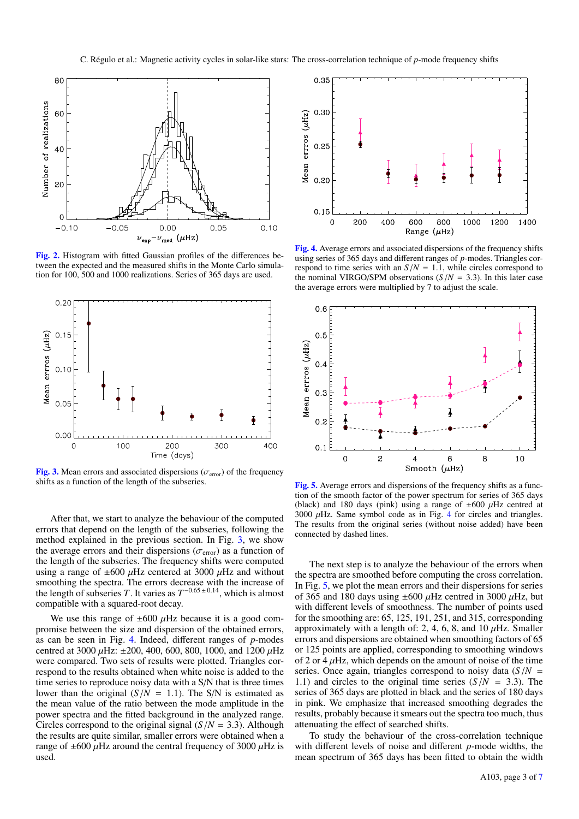

[Fig. 2.](http://dexter.edpsciences.org/applet.php?DOI=10.1051/0004-6361/201425408&pdf_id=2) Histogram with fitted Gaussian profiles of the differences between the expected and the measured shifts in the Monte Carlo simulation for 100, 500 and 1000 realizations. Series of 365 days are used.



[Fig. 3.](http://dexter.edpsciences.org/applet.php?DOI=10.1051/0004-6361/201425408&pdf_id=3) Mean errors and associated dispersions ( $\sigma$ <sub>error</sub>) of the frequency shifts as a function of the length of the subseries.

After that, we start to analyze the behaviour of the computed errors that depend on the length of the subseries, following the method explained in the previous section. In Fig. 3, we show the average errors and their dispersions ( $\sigma$ <sub>error</sub>) as a function of the length of the subseries. The frequency shifts were computed using a range of  $\pm 600 \mu$ Hz centered at 3000  $\mu$ Hz and without smoothing the spectra. The errors decrease with the increase of the length of subseries *T*. It varies as  $T^{-0.65 \pm 0.14}$ , which is almost compatible with a squared-root decay.

We use this range of  $\pm 600 \mu$ Hz because it is a good compromise between the size and dispersion of the obtained errors, as can be seen in Fig. 4. Indeed, different ranges of *p*-modes centred at 3000  $\mu$ Hz: ±200, 400, 600, 800, 1000, and 1200  $\mu$ Hz were compared. Two sets of results were plotted. Triangles correspond to the results obtained when white noise is added to the time series to reproduce noisy data with a S/N that is three times lower than the original  $(S/N = 1.1)$ . The S/N is estimated as the mean value of the ratio between the mode amplitude in the power spectra and the fitted background in the analyzed range. Circles correspond to the original signal  $(S/N = 3.3)$ . Although the results are quite similar, smaller errors were obtained when a range of  $\pm 600 \mu$ Hz around the central frequency of 3000  $\mu$ Hz is used.



[Fig. 4.](http://dexter.edpsciences.org/applet.php?DOI=10.1051/0004-6361/201425408&pdf_id=4) Average errors and associated dispersions of the frequency shifts using series of 365 days and different ranges of *p*-modes. Triangles correspond to time series with an  $S/N = 1.1$ , while circles correspond to the nominal VIRGO/SPM observations  $(S/N = 3.3)$ . In this later case the average errors were multiplied by 7 to adjust the scale.



[Fig. 5.](http://dexter.edpsciences.org/applet.php?DOI=10.1051/0004-6361/201425408&pdf_id=5) Average errors and dispersions of the frequency shifts as a function of the smooth factor of the power spectrum for series of 365 days (black) and 180 days (pink) using a range of  $\pm 600 \mu$ Hz centred at  $3000 \mu$ Hz. Same symbol code as in Fig. 4 for circles and triangles. The results from the original series (without noise added) have been connected by dashed lines.

The next step is to analyze the behaviour of the errors when the spectra are smoothed before computing the cross correlation. In Fig. 5, we plot the mean errors and their dispersions for series of 365 and 180 days using  $\pm 600 \mu$ Hz centred in 3000  $\mu$ Hz, but with different levels of smoothness. The number of points used for the smoothing are: 65, 125, 191, 251, and 315, corresponding approximately with a length of: 2, 4, 6, 8, and 10  $\mu$ Hz. Smaller errors and dispersions are obtained when smoothing factors of 65 or 125 points are applied, corresponding to smoothing windows of 2 or 4  $\mu$ Hz, which depends on the amount of noise of the time series. Once again, triangles correspond to noisy data  $(S/N =$ 1.1) and circles to the original time series  $(S/N = 3.3)$ . The series of 365 days are plotted in black and the series of 180 days in pink. We emphasize that increased smoothing degrades the results, probably because it smears out the spectra too much, thus attenuating the effect of searched shifts.

To study the behaviour of the cross-correlation technique with different levels of noise and different *p*-mode widths, the mean spectrum of 365 days has been fitted to obtain the width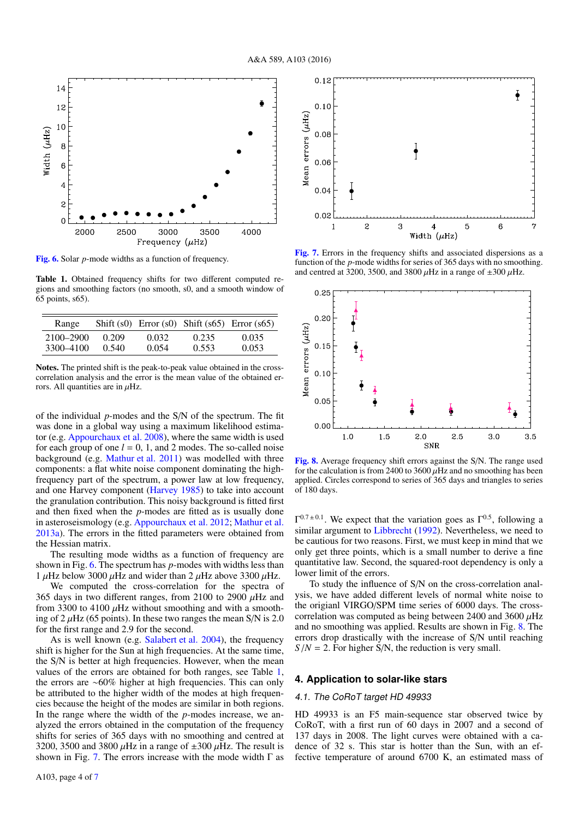

[Fig. 6.](http://dexter.edpsciences.org/applet.php?DOI=10.1051/0004-6361/201425408&pdf_id=6) Solar *p*-mode widths as a function of frequency.

Table 1. Obtained frequency shifts for two different computed regions and smoothing factors (no smooth, s0, and a smooth window of 65 points, s65).

| Range     |       |       |       | Shift $(s0)$ Error $(s0)$ Shift $(s65)$ Error $(s65)$ |
|-----------|-------|-------|-------|-------------------------------------------------------|
| 2100–2900 | 0.209 | 0.032 | 0.235 | 0.035                                                 |
| 3300-4100 | 0.540 | 0.054 | 0.553 | 0.053                                                 |

Notes. The printed shift is the peak-to-peak value obtained in the crosscorrelation analysis and the error is the mean value of the obtained errors. All quantities are in  $\mu$ Hz.

of the individual *p*-modes and the S/N of the spectrum. The fit was done in a global way using a maximum likelihood estimator (e.g. Appourchaux et al. 2008), where the same width is used for each group of one  $l = 0, 1$ , and 2 modes. The so-called noise background (e.g. Mathur et al. 2011) was modelled with three components: a flat white noise component dominating the highfrequency part of the spectrum, a power law at low frequency, and one Harvey component (Harvey 1985) to take into account the granulation contribution. This noisy background is fitted first and then fixed when the *p*-modes are fitted as is usually done in asteroseismology (e.g. Appourchaux et al. 2012; Mathur et al. 2013a). The errors in the fitted parameters were obtained from the Hessian matrix.

The resulting mode widths as a function of frequency are shown in Fig. 6. The spectrum has *p*-modes with widths less than 1  $\mu$ Hz below 3000  $\mu$ Hz and wider than 2  $\mu$ Hz above 3300  $\mu$ Hz.

We computed the cross-correlation for the spectra of 365 days in two different ranges, from 2100 to 2900  $\mu$ Hz and from 3300 to 4100  $\mu$ Hz without smoothing and with a smoothing of  $2 \mu$ Hz (65 points). In these two ranges the mean S/N is 2.0 for the first range and 2.9 for the second.

As is well known (e.g. Salabert et al. 2004), the frequency shift is higher for the Sun at high frequencies. At the same time, the S/N is better at high frequencies. However, when the mean values of the errors are obtained for both ranges, see Table 1, the errors are ∼60% higher at high frequencies. This can only be attributed to the higher width of the modes at high frequencies because the height of the modes are similar in both regions. In the range where the width of the *p*-modes increase, we analyzed the errors obtained in the computation of the frequency shifts for series of 365 days with no smoothing and centred at 3200, 3500 and 3800  $\mu$ Hz in a range of  $\pm 300 \mu$ Hz. The result is shown in Fig. 7. The errors increase with the mode width  $\Gamma$  as



[Fig. 7.](http://dexter.edpsciences.org/applet.php?DOI=10.1051/0004-6361/201425408&pdf_id=7) Errors in the frequency shifts and associated dispersions as a function of the *p*-mode widths for series of 365 days with no smoothing. and centred at 3200, 3500, and 3800  $\mu$ Hz in a range of  $\pm 300 \mu$ Hz.



[Fig. 8.](http://dexter.edpsciences.org/applet.php?DOI=10.1051/0004-6361/201425408&pdf_id=8) Average frequency shift errors against the S/N. The range used for the calculation is from 2400 to 3600  $\mu$ Hz and no smoothing has been applied. Circles correspond to series of 365 days and triangles to series of 180 days.

 $\Gamma^{0.7\pm0.1}$ . We expect that the variation goes as  $\Gamma^{0.5}$ , following a similar argument to Libbrecht (1992). Nevertheless, we need to be cautious for two reasons. First, we must keep in mind that we only get three points, which is a small number to derive a fine quantitative law. Second, the squared-root dependency is only a lower limit of the errors.

To study the influence of S/N on the cross-correlation analysis, we have added different levels of normal white noise to the origianl VIRGO/SPM time series of 6000 days. The crosscorrelation was computed as being between 2400 and 3600  $\mu$ Hz and no smoothing was applied. Results are shown in Fig. 8. The errors drop drastically with the increase of S/N until reaching  $S/N = 2$ . For higher S/N, the reduction is very small.

### **4. Application to solar-like stars**

### 4.1. The CoRoT target HD 49933

HD 49933 is an F5 main-sequence star observed twice by CoRoT, with a first run of 60 days in 2007 and a second of 137 days in 2008. The light curves were obtained with a cadence of 32 s. This star is hotter than the Sun, with an effective temperature of around 6700 K, an estimated mass of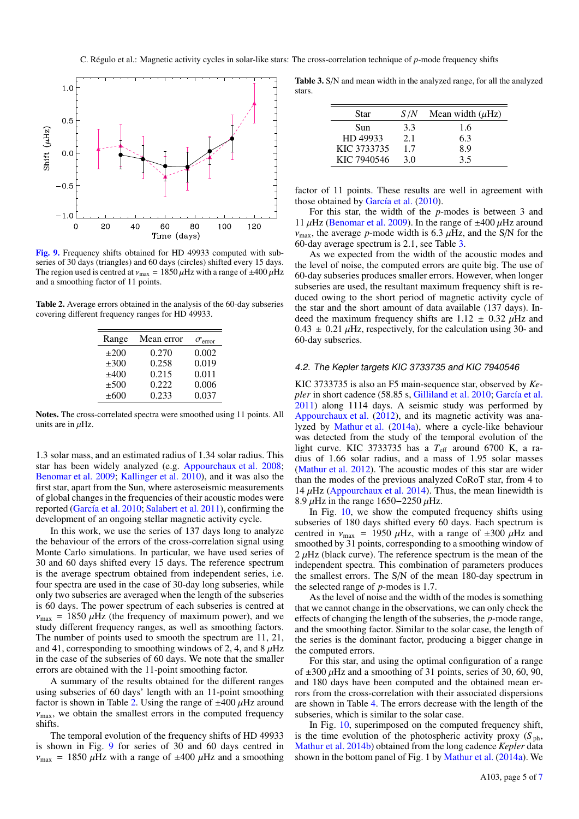

[Fig. 9.](http://dexter.edpsciences.org/applet.php?DOI=10.1051/0004-6361/201425408&pdf_id=9) Frequency shifts obtained for HD 49933 computed with subseries of 30 days (triangles) and 60 days (circles) shifted every 15 days. The region used is centred at  $v_{\text{max}} = 1850 \,\mu\text{Hz}$  with a range of  $\pm 400 \,\mu\text{Hz}$ and a smoothing factor of 11 points.

Table 2. Average errors obtained in the analysis of the 60-day subseries covering different frequency ranges for HD 49933.

| Range     | Mean error | $\sigma_{\text{error}}$ |
|-----------|------------|-------------------------|
| $\pm 200$ | 0.270      | 0.002                   |
| $\pm 300$ | 0.258      | 0.019                   |
| ±400      | 0.215      | 0.011                   |
| $\pm 500$ | 0.222      | 0.006                   |
| $\pm 600$ | 0.233      | 0.037                   |

Notes. The cross-correlated spectra were smoothed using 11 points. All units are in  $\mu$ Hz.

1.3 solar mass, and an estimated radius of 1.34 solar radius. This star has been widely analyzed (e.g. Appourchaux et al. 2008; Benomar et al. 2009; Kallinger et al. 2010), and it was also the first star, apart from the Sun, where asteroseismic measurements of global changes in the frequencies of their acoustic modes were reported (García et al. 2010; Salabert et al. 2011), confirming the development of an ongoing stellar magnetic activity cycle.

In this work, we use the series of 137 days long to analyze the behaviour of the errors of the cross-correlation signal using Monte Carlo simulations. In particular, we have used series of 30 and 60 days shifted every 15 days. The reference spectrum is the average spectrum obtained from independent series, i.e. four spectra are used in the case of 30-day long subseries, while only two subseries are averaged when the length of the subseries is 60 days. The power spectrum of each subseries is centred at  $v_{\text{max}} = 1850 \mu \text{Hz}$  (the frequency of maximum power), and we study different frequency ranges, as well as smoothing factors. The number of points used to smooth the spectrum are 11, 21, and 41, corresponding to smoothing windows of 2, 4, and  $8 \mu$ Hz in the case of the subseries of 60 days. We note that the smaller errors are obtained with the 11-point smoothing factor.

A summary of the results obtained for the different ranges using subseries of 60 days' length with an 11-point smoothing factor is shown in Table 2. Using the range of  $\pm 400 \mu$ Hz around  $v_{\text{max}}$ , we obtain the smallest errors in the computed frequency shifts.

The temporal evolution of the frequency shifts of HD 49933 is shown in Fig. 9 for series of 30 and 60 days centred in  $v_{\text{max}}$  = 1850  $\mu$ Hz with a range of  $\pm 400 \mu$ Hz and a smoothing

Table 3. S/N and mean width in the analyzed range, for all the analyzed stars.

| Star        | S /N | Mean width $(\mu Hz)$ |
|-------------|------|-----------------------|
| Sun         | 3.3  | 1.6                   |
| HD 49933    | 2.1  | 6.3                   |
| KIC 3733735 | 1.7  | 8.9                   |
| KIC 7940546 | 3 O  | 35                    |

factor of 11 points. These results are well in agreement with those obtained by García et al. (2010).

For this star, the width of the *p*-modes is between 3 and 11  $\mu$ Hz (Benomar et al. 2009). In the range of  $\pm 400 \mu$ Hz around  $v_{\text{max}}$ , the average *p*-mode width is 6.3  $\mu$ Hz, and the S/N for the 60-day average spectrum is 2.1, see Table 3.

As we expected from the width of the acoustic modes and the level of noise, the computed errors are quite big. The use of 60-day subseries produces smaller errors. However, when longer subseries are used, the resultant maximum frequency shift is reduced owing to the short period of magnetic activity cycle of the star and the short amount of data available (137 days). Indeed the maximum frequency shifts are  $1.12 \pm 0.32 \mu$ Hz and  $0.43 \pm 0.21 \mu$ Hz, respectively, for the calculation using 30- and 60-day subseries.

### 4.2. The Kepler targets KIC 3733735 and KIC 7940546

KIC 3733735 is also an F5 main-sequence star, observed by *Kepler* in short cadence (58.85 s, Gilliland et al. 2010; García et al. 2011) along 1114 days. A seismic study was performed by Appourchaux et al. (2012), and its magnetic activity was analyzed by Mathur et al. (2014a), where a cycle-like behaviour was detected from the study of the temporal evolution of the light curve. KIC 3733735 has a T<sub>eff</sub> around 6700 K, a radius of 1.66 solar radius, and a mass of 1.95 solar masses (Mathur et al. 2012). The acoustic modes of this star are wider than the modes of the previous analyzed CoRoT star, from 4 to 14  $\mu$ Hz (Appourchaux et al. 2014). Thus, the mean linewidth is 8.9  $\mu$ Hz in the range 1650–2250  $\mu$ Hz.

In Fig. 10, we show the computed frequency shifts using subseries of 180 days shifted every 60 days. Each spectrum is centred in  $v_{\text{max}} = 1950 \mu \text{Hz}$ , with a range of  $\pm 300 \mu \text{Hz}$  and smoothed by 31 points, corresponding to a smoothing window of  $2 \mu$ Hz (black curve). The reference spectrum is the mean of the independent spectra. This combination of parameters produces the smallest errors. The S/N of the mean 180-day spectrum in the selected range of *p*-modes is 1.7.

As the level of noise and the width of the modes is something that we cannot change in the observations, we can only check the effects of changing the length of the subseries, the *p*-mode range, and the smoothing factor. Similar to the solar case, the length of the series is the dominant factor, producing a bigger change in the computed errors.

For this star, and using the optimal configuration of a range of  $\pm 300 \mu$ Hz and a smoothing of 31 points, series of 30, 60, 90, and 180 days have been computed and the obtained mean errors from the cross-correlation with their associated dispersions are shown in Table 4. The errors decrease with the length of the subseries, which is similar to the solar case.

In Fig. 10, superimposed on the computed frequency shift, is the time evolution of the photospheric activity proxy  $(S_{ph}$ , Mathur et al. 2014b) obtained from the long cadence *Kepler* data shown in the bottom panel of Fig. 1 by Mathur et al. (2014a). We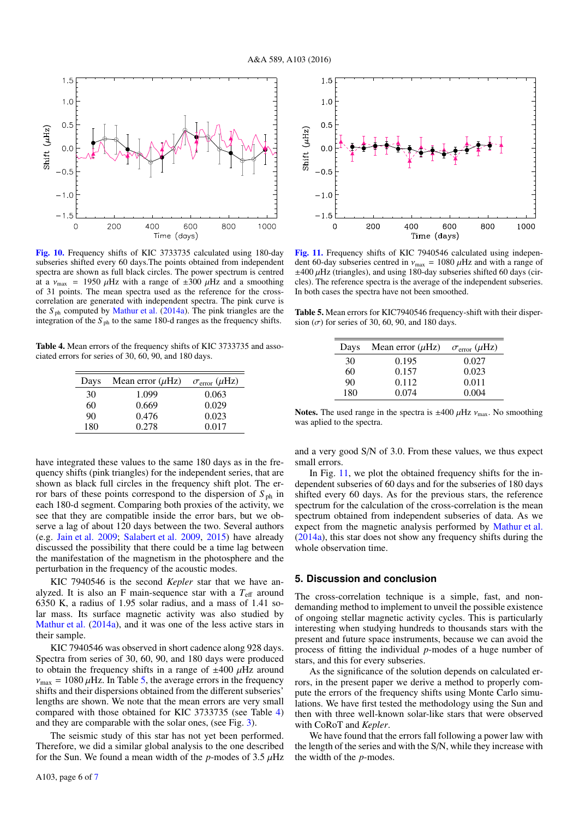

[Fig. 10.](http://dexter.edpsciences.org/applet.php?DOI=10.1051/0004-6361/201425408&pdf_id=10) Frequency shifts of KIC 3733735 calculated using 180-day subseries shifted every 60 days.The points obtained from independent spectra are shown as full black circles. The power spectrum is centred at a  $v_{\text{max}}$  = 1950  $\mu$ Hz with a range of  $\pm 300 \mu$ Hz and a smoothing of 31 points. The mean spectra used as the reference for the crosscorrelation are generated with independent spectra. The pink curve is the  $S_{\text{ph}}$  computed by Mathur et al. (2014a). The pink triangles are the integration of the  $S_{\text{ph}}$  to the same 180-d ranges as the frequency shifts.

Table 4. Mean errors of the frequency shifts of KIC 3733735 and associated errors for series of 30, 60, 90, and 180 days.

| Days | Mean error $(\mu Hz)$ | $\sigma_{\text{error}}(\mu \text{Hz})$ |
|------|-----------------------|----------------------------------------|
| 30   | 1.099                 | 0.063                                  |
| 60   | 0.669                 | 0.029                                  |
| 90   | 0.476                 | 0.023                                  |
| 180  | 0.278                 | 0.017                                  |

have integrated these values to the same 180 days as in the frequency shifts (pink triangles) for the independent series, that are shown as black full circles in the frequency shift plot. The error bars of these points correspond to the dispersion of  $S_{ph}$  in each 180-d segment. Comparing both proxies of the activity, we see that they are compatible inside the error bars, but we observe a lag of about 120 days between the two. Several authors (e.g. Jain et al. 2009; Salabert et al. 2009, 2015) have already discussed the possibility that there could be a time lag between the manifestation of the magnetism in the photosphere and the perturbation in the frequency of the acoustic modes.

KIC 7940546 is the second *Kepler* star that we have analyzed. It is also an F main-sequence star with a  $T_{\text{eff}}$  around 6350 K, a radius of 1.95 solar radius, and a mass of 1.41 solar mass. Its surface magnetic activity was also studied by Mathur et al. (2014a), and it was one of the less active stars in their sample.

KIC 7940546 was observed in short cadence along 928 days. Spectra from series of 30, 60, 90, and 180 days were produced to obtain the frequency shifts in a range of  $\pm 400 \mu$ Hz around  $v_{\text{max}} = 1080 \,\mu \text{Hz}$ . In Table 5, the average errors in the frequency shifts and their dispersions obtained from the different subseries' lengths are shown. We note that the mean errors are very small compared with those obtained for KIC 3733735 (see Table 4) and they are comparable with the solar ones, (see Fig. 3).

The seismic study of this star has not yet been performed. Therefore, we did a similar global analysis to the one described for the Sun. We found a mean width of the *p*-modes of  $3.5 \mu$ Hz



[Fig. 11.](http://dexter.edpsciences.org/applet.php?DOI=10.1051/0004-6361/201425408&pdf_id=11) Frequency shifts of KIC 7940546 calculated using independent 60-day subseries centred in  $v_{\text{max}} = 1080 \,\mu\text{Hz}$  and with a range of  $\pm$ 400  $\mu$ Hz (triangles), and using 180-day subseries shifted 60 days (circles). The reference spectra is the average of the independent subseries. In both cases the spectra have not been smoothed.

Table 5. Mean errors for KIC7940546 frequency-shift with their dispersion ( $\sigma$ ) for series of 30, 60, 90, and 180 days.

| Days | Mean error $(\mu Hz)$ | $\sigma_{\rm error}$ ( $\mu$ Hz) |
|------|-----------------------|----------------------------------|
| 30   | 0.195                 | 0.027                            |
| 60   | 0.157                 | 0.023                            |
| 90   | 0.112                 | 0.011                            |
| 180  | 0.074                 | 0.004                            |

Notes. The used range in the spectra is  $\pm 400 \mu$ Hz  $v_{\text{max}}$ . No smoothing was aplied to the spectra.

and a very good S/N of 3.0. From these values, we thus expect small errors.

In Fig. 11, we plot the obtained frequency shifts for the independent subseries of 60 days and for the subseries of 180 days shifted every 60 days. As for the previous stars, the reference spectrum for the calculation of the cross-correlation is the mean spectrum obtained from independent subseries of data. As we expect from the magnetic analysis performed by Mathur et al. (2014a), this star does not show any frequency shifts during the whole observation time.

### **5. Discussion and conclusion**

The cross-correlation technique is a simple, fast, and nondemanding method to implement to unveil the possible existence of ongoing stellar magnetic activity cycles. This is particularly interesting when studying hundreds to thousands stars with the present and future space instruments, because we can avoid the process of fitting the individual *p*-modes of a huge number of stars, and this for every subseries.

As the significance of the solution depends on calculated errors, in the present paper we derive a method to properly compute the errors of the frequency shifts using Monte Carlo simulations. We have first tested the methodology using the Sun and then with three well-known solar-like stars that were observed with CoRoT and *Kepler*.

We have found that the errors fall following a power law with the length of the series and with the S/N, while they increase with the width of the *p*-modes.